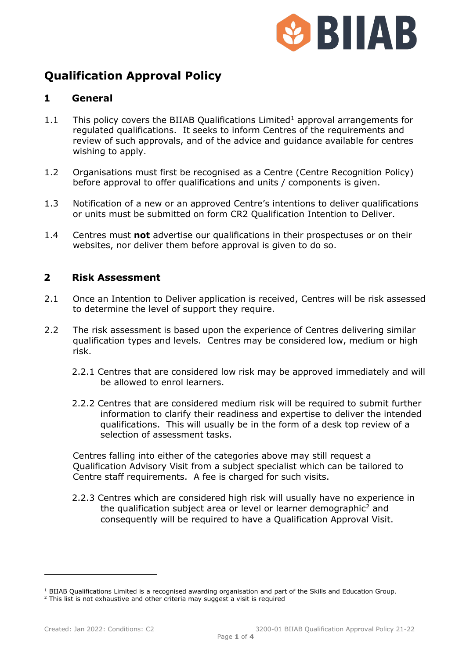

# **Qualification Approval Policy**

### **1 General**

- [1](#page-0-0).1 This policy covers the BIIAB Qualifications Limited<sup>1</sup> approval arrangements for regulated qualifications. It seeks to inform Centres of the requirements and review of such approvals, and of the advice and guidance available for centres wishing to apply.
- 1.2 Organisations must first be recognised as a Centre (Centre Recognition Policy) before approval to offer qualifications and units / components is given.
- 1.3 Notification of a new or an approved Centre's intentions to deliver qualifications or units must be submitted on form CR2 Qualification Intention to Deliver.
- 1.4 Centres must **not** advertise our qualifications in their prospectuses or on their websites, nor deliver them before approval is given to do so.

#### **2 Risk Assessment**

- 2.1 Once an Intention to Deliver application is received, Centres will be risk assessed to determine the level of support they require.
- 2.2 The risk assessment is based upon the experience of Centres delivering similar qualification types and levels. Centres may be considered low, medium or high risk.
	- 2.2.1 Centres that are considered low risk may be approved immediately and will be allowed to enrol learners.
	- 2.2.2 Centres that are considered medium risk will be required to submit further information to clarify their readiness and expertise to deliver the intended qualifications. This will usually be in the form of a desk top review of a selection of assessment tasks.

Centres falling into either of the categories above may still request a Qualification Advisory Visit from a subject specialist which can be tailored to Centre staff requirements. A fee is charged for such visits.

2.2.3 Centres which are considered high risk will usually have no experience in the qualification subject area or level or learner demographic<sup>[2](#page-0-1)</sup> and consequently will be required to have a Qualification Approval Visit.

<span id="page-0-0"></span><sup>&</sup>lt;sup>1</sup> BIIAB Qualifications Limited is a recognised awarding organisation and part of the Skills and Education Group.  $2$  This list is not exhaustive and other criteria may suggest a visit is required

<span id="page-0-1"></span>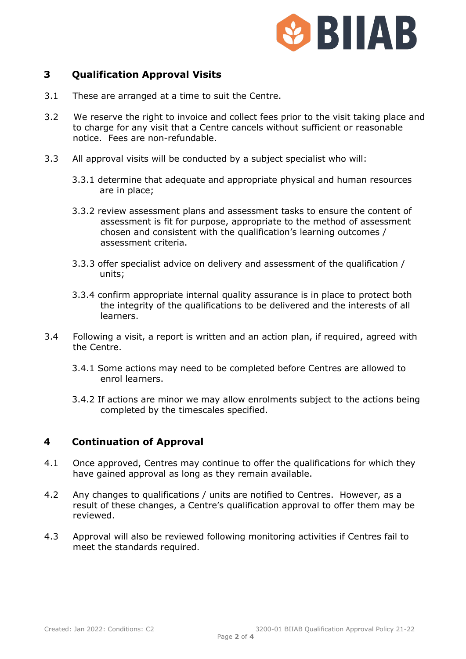

## **3 Qualification Approval Visits**

- 3.1 These are arranged at a time to suit the Centre.
- 3.2 We reserve the right to invoice and collect fees prior to the visit taking place and to charge for any visit that a Centre cancels without sufficient or reasonable notice. Fees are non-refundable.
- 3.3 All approval visits will be conducted by a subject specialist who will:
	- 3.3.1 determine that adequate and appropriate physical and human resources are in place;
	- 3.3.2 review assessment plans and assessment tasks to ensure the content of assessment is fit for purpose, appropriate to the method of assessment chosen and consistent with the qualification's learning outcomes / assessment criteria.
	- 3.3.3 offer specialist advice on delivery and assessment of the qualification / units;
	- 3.3.4 confirm appropriate internal quality assurance is in place to protect both the integrity of the qualifications to be delivered and the interests of all learners.
- 3.4 Following a visit, a report is written and an action plan, if required, agreed with the Centre.
	- 3.4.1 Some actions may need to be completed before Centres are allowed to enrol learners.
	- 3.4.2 If actions are minor we may allow enrolments subject to the actions being completed by the timescales specified.

#### **4 Continuation of Approval**

- 4.1 Once approved, Centres may continue to offer the qualifications for which they have gained approval as long as they remain available.
- 4.2 Any changes to qualifications / units are notified to Centres. However, as a result of these changes, a Centre's qualification approval to offer them may be reviewed.
- 4.3 Approval will also be reviewed following monitoring activities if Centres fail to meet the standards required.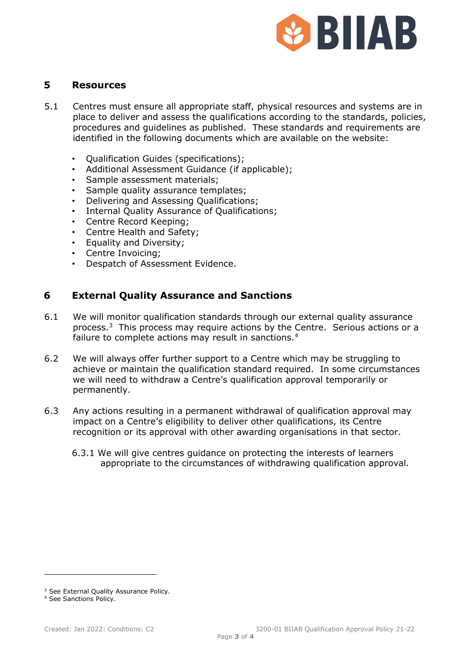

#### **5 Resources**

- 5.1 Centres must ensure all appropriate staff, physical resources and systems are in place to deliver and assess the qualifications according to the standards, policies, procedures and guidelines as published. These standards and requirements are identified in the following documents which are available on the website:
	- Qualification Guides (specifications);
	- Additional Assessment Guidance (if applicable);
	- Sample assessment materials;
	- Sample quality assurance templates;
	- Delivering and Assessing Qualifications;
	- Internal Quality Assurance of Qualifications;
	- Centre Record Keeping;
	- Centre Health and Safety;
	- Equality and Diversity;
	- Centre Invoicing;
	- Despatch of Assessment Evidence.

### **6 External Quality Assurance and Sanctions**

- 6.1 We will monitor qualification standards through our external quality assurance process.[3](#page-2-0) This process may require actions by the Centre. Serious actions or a failure to complete actions may result in sanctions.<sup>[4](#page-2-1)</sup>
- 6.2 We will always offer further support to a Centre which may be struggling to achieve or maintain the qualification standard required. In some circumstances we will need to withdraw a Centre's qualification approval temporarily or permanently.
- 6.3 Any actions resulting in a permanent withdrawal of qualification approval may impact on a Centre's eligibility to deliver other qualifications, its Centre recognition or its approval with other awarding organisations in that sector.
	- 6.3.1 We will give centres guidance on protecting the interests of learners appropriate to the circumstances of withdrawing qualification approval.

<span id="page-2-0"></span><sup>&</sup>lt;sup>3</sup> See External Quality Assurance Policy.

<span id="page-2-1"></span><sup>4</sup> See Sanctions Policy.